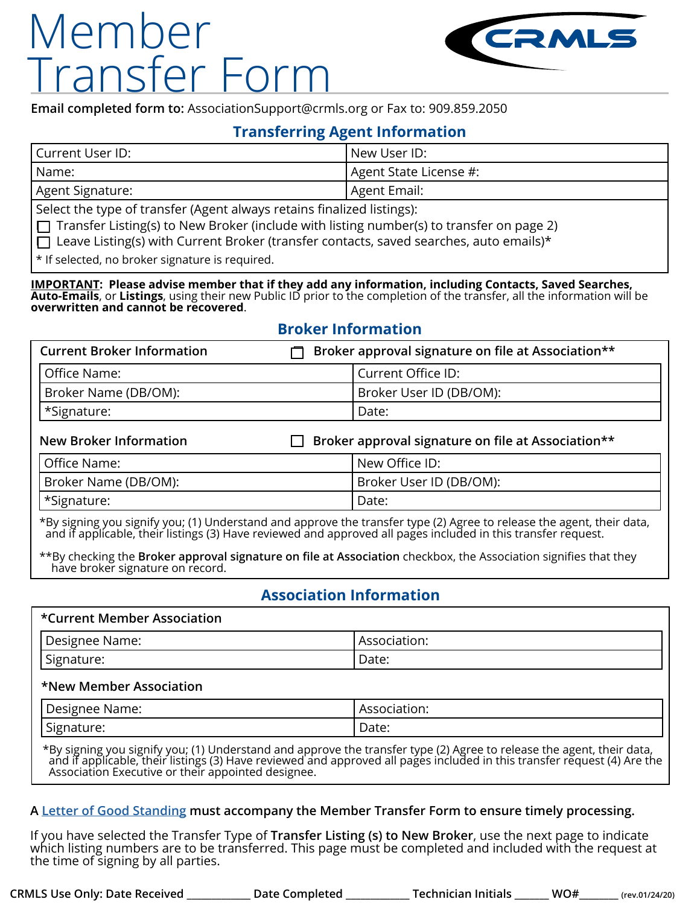# Member Transfer Form



**Email completed form to:** AssociationSupport@crmls.org or Fax to: 909.859.2050

### **Transferring Agent Information**

| Current User ID:        | New User ID:           |
|-------------------------|------------------------|
| l Name:                 | Agent State License #: |
| Agent Signature:        | ' Agent Email:         |
| $\mathsf{C}_\mathsf{C}$ |                        |

Select the type of transfer (Agent always retains finalized listings):

 $\Box$  Transfer Listing(s) to New Broker (include with listing number(s) to transfer on page 2)

 $\Box$  Leave Listing(s) with Current Broker (transfer contacts, saved searches, auto emails)\*

\* If selected, no broker signature is required.

**IMPORTANT: Please advise member that if they add any information, including Contacts, Saved Searches, Auto-Emails**, or **Listings**, using their new Public ID prior to the completion of the transfer, all the information will be **overwritten and cannot be recovered**.

## **Broker Information**

| <b>Current Broker Information</b> | Broker approval signature on file at Association** |
|-----------------------------------|----------------------------------------------------|
| Office Name:                      | l Current Office ID:                               |
| Broker Name (DB/OM):              | Broker User ID (DB/OM):                            |
| *Signature:                       | Date:                                              |

| <b>New Broker Information</b> | $\Box$ Broker approval signature on file at Association** |
|-------------------------------|-----------------------------------------------------------|
| l Office Name:                | New Office ID:                                            |
| Broker Name (DB/OM):          | Broker User ID (DB/OM):                                   |
| *Signature:                   | Date:                                                     |

\*By signing you signify you; (1) Understand and approve the transfer type (2) Agree to release the agent, their data, and if applicable, their listings (3) Have reviewed and approved all pages included in this transfer request.

\*\*By checking the **Broker approval signature on file at Association** checkbox, the Association signifies that they have broker signature on record.

# **Association Information**

#### **\*Current Member Association**

| -                                                  | $\sim$ $\sim$ $\sim$ $\sim$ |
|----------------------------------------------------|-----------------------------|
| Designee                                           | uvu.                        |
| Name:                                              | ື                           |
| $\overline{\phantom{a}}$<br>I Signature:<br>$\sim$ | Date:                       |

#### **\*New Member Association**

| -<br>Designee<br>Name:                 | $\sim$ $\sim$ $\sim$<br>ASSOCIALION. |
|----------------------------------------|--------------------------------------|
| $\overline{\phantom{a}}$<br>Signature: | Date:                                |

\*By signing you signify you; (1) Understand and approve the transfer type (2) Agree to release the agent, their data, and if applicable, their listings (3) Have reviewed and approved all pages included in this transfer request (4) Are the Association Executive or their appointed designee.

### **A [Letter of Good Standing](https://matrix.crmls.org/Matrix/Help#MatrixHelpID=10) must accompany the Member Transfer Form to ensure timely processing.**

If you have selected the Transfer Type of **Transfer Listing (s) to New Broker**, use the next page to indicate<br>which listing numbers are to be transferred. This page must be completed and included with the request at the time of signing by all parties.

**CRMLS Use Only: Date Received \_\_\_\_\_\_\_\_\_\_\_\_\_ Date Completed \_\_\_\_\_\_\_\_\_\_\_\_\_ Technician Initials \_\_\_\_\_\_\_ WO#\_\_\_\_\_\_\_\_ (rev.01/24/20)**